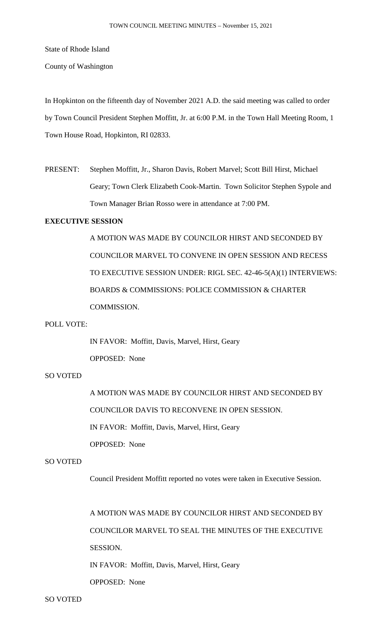State of Rhode Island

County of Washington

In Hopkinton on the fifteenth day of November 2021 A.D. the said meeting was called to order by Town Council President Stephen Moffitt, Jr. at 6:00 P.M. in the Town Hall Meeting Room, 1 Town House Road, Hopkinton, RI 02833.

PRESENT: Stephen Moffitt, Jr., Sharon Davis, Robert Marvel; Scott Bill Hirst, Michael Geary; Town Clerk Elizabeth Cook-Martin. Town Solicitor Stephen Sypole and Town Manager Brian Rosso were in attendance at 7:00 PM.

# **EXECUTIVE SESSION**

A MOTION WAS MADE BY COUNCILOR HIRST AND SECONDED BY COUNCILOR MARVEL TO CONVENE IN OPEN SESSION AND RECESS TO EXECUTIVE SESSION UNDER: RIGL SEC. 42-46-5(A)(1) INTERVIEWS: BOARDS & COMMISSIONS: POLICE COMMISSION & CHARTER COMMISSION.

## POLL VOTE:

IN FAVOR: Moffitt, Davis, Marvel, Hirst, Geary OPPOSED: None

## SO VOTED

A MOTION WAS MADE BY COUNCILOR HIRST AND SECONDED BY COUNCILOR DAVIS TO RECONVENE IN OPEN SESSION. IN FAVOR: Moffitt, Davis, Marvel, Hirst, Geary OPPOSED: None

### SO VOTED

Council President Moffitt reported no votes were taken in Executive Session.

A MOTION WAS MADE BY COUNCILOR HIRST AND SECONDED BY COUNCILOR MARVEL TO SEAL THE MINUTES OF THE EXECUTIVE SESSION.

IN FAVOR: Moffitt, Davis, Marvel, Hirst, Geary

OPPOSED: None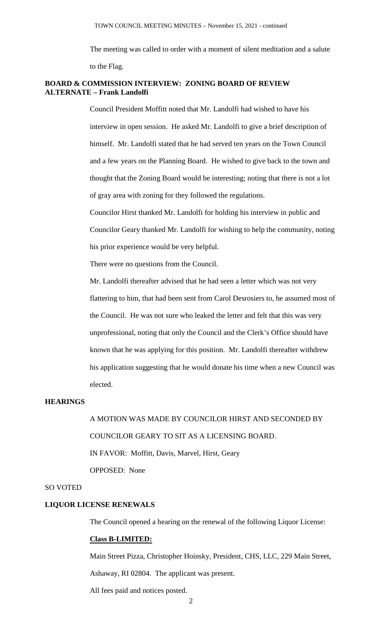The meeting was called to order with a moment of silent meditation and a salute to the Flag.

## **BOARD & COMMISSION INTERVIEW: ZONING BOARD OF REVIEW ALTERNATE – Frank Landolfi**

Council President Moffitt noted that Mr. Landolfi had wished to have his interview in open session. He asked Mr. Landolfi to give a brief description of himself. Mr. Landolfi stated that he had served ten years on the Town Council and a few years on the Planning Board. He wished to give back to the town and thought that the Zoning Board would be interesting; noting that there is not a lot of gray area with zoning for they followed the regulations.

Councilor Hirst thanked Mr. Landolfi for holding his interview in public and Councilor Geary thanked Mr. Landolfi for wishing to help the community, noting his prior experience would be very helpful.

There were no questions from the Council.

Mr. Landolfi thereafter advised that he had seen a letter which was not very flattering to him, that had been sent from Carol Desrosiers to, he assumed most of the Council. He was not sure who leaked the letter and felt that this was very unprofessional, noting that only the Council and the Clerk's Office should have known that he was applying for this position. Mr. Landolfi thereafter withdrew his application suggesting that he would donate his time when a new Council was elected.

### **HEARINGS**

A MOTION WAS MADE BY COUNCILOR HIRST AND SECONDED BY COUNCILOR GEARY TO SIT AS A LICENSING BOARD. IN FAVOR: Moffitt, Davis, Marvel, Hirst, Geary OPPOSED: None

#### SO VOTED

## **LIQUOR LICENSE RENEWALS**

The Council opened a hearing on the renewal of the following Liquor License:

### **Class B-LIMITED:**

Main Street Pizza, Christopher Hoinsky, President, CHS, LLC, 229 Main Street, Ashaway, RI 02804. The applicant was present.

All fees paid and notices posted.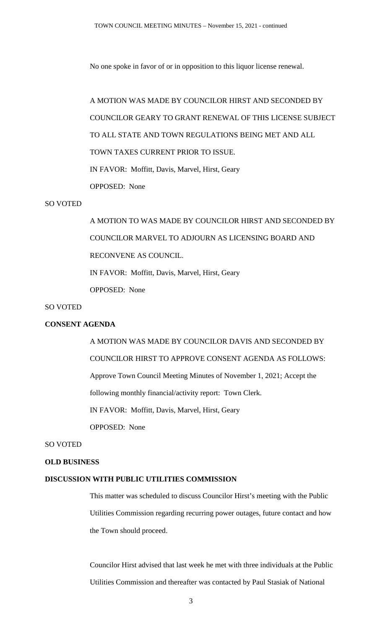No one spoke in favor of or in opposition to this liquor license renewal.

A MOTION WAS MADE BY COUNCILOR HIRST AND SECONDED BY COUNCILOR GEARY TO GRANT RENEWAL OF THIS LICENSE SUBJECT TO ALL STATE AND TOWN REGULATIONS BEING MET AND ALL TOWN TAXES CURRENT PRIOR TO ISSUE. IN FAVOR: Moffitt, Davis, Marvel, Hirst, Geary OPPOSED: None

## SO VOTED

A MOTION TO WAS MADE BY COUNCILOR HIRST AND SECONDED BY COUNCILOR MARVEL TO ADJOURN AS LICENSING BOARD AND RECONVENE AS COUNCIL. IN FAVOR: Moffitt, Davis, Marvel, Hirst, Geary

OPPOSED: None

## SO VOTED

# **CONSENT AGENDA**

A MOTION WAS MADE BY COUNCILOR DAVIS AND SECONDED BY COUNCILOR HIRST TO APPROVE CONSENT AGENDA AS FOLLOWS: Approve Town Council Meeting Minutes of November 1, 2021; Accept the following monthly financial/activity report: Town Clerk. IN FAVOR: Moffitt, Davis, Marvel, Hirst, Geary OPPOSED: None

## SO VOTED

### **OLD BUSINESS**

#### **DISCUSSION WITH PUBLIC UTILITIES COMMISSION**

This matter was scheduled to discuss Councilor Hirst's meeting with the Public Utilities Commission regarding recurring power outages, future contact and how the Town should proceed.

Councilor Hirst advised that last week he met with three individuals at the Public Utilities Commission and thereafter was contacted by Paul Stasiak of National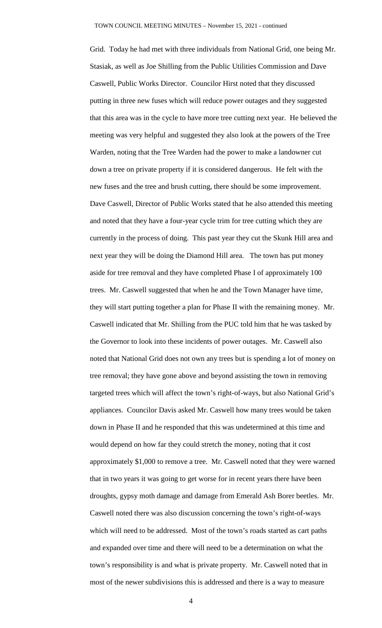Grid. Today he had met with three individuals from National Grid, one being Mr. Stasiak, as well as Joe Shilling from the Public Utilities Commission and Dave Caswell, Public Works Director. Councilor Hirst noted that they discussed putting in three new fuses which will reduce power outages and they suggested that this area was in the cycle to have more tree cutting next year. He believed the meeting was very helpful and suggested they also look at the powers of the Tree Warden, noting that the Tree Warden had the power to make a landowner cut down a tree on private property if it is considered dangerous. He felt with the new fuses and the tree and brush cutting, there should be some improvement. Dave Caswell, Director of Public Works stated that he also attended this meeting and noted that they have a four-year cycle trim for tree cutting which they are currently in the process of doing. This past year they cut the Skunk Hill area and next year they will be doing the Diamond Hill area. The town has put money aside for tree removal and they have completed Phase I of approximately 100 trees. Mr. Caswell suggested that when he and the Town Manager have time, they will start putting together a plan for Phase II with the remaining money. Mr. Caswell indicated that Mr. Shilling from the PUC told him that he was tasked by the Governor to look into these incidents of power outages. Mr. Caswell also noted that National Grid does not own any trees but is spending a lot of money on tree removal; they have gone above and beyond assisting the town in removing targeted trees which will affect the town's right-of-ways, but also National Grid's appliances. Councilor Davis asked Mr. Caswell how many trees would be taken down in Phase II and he responded that this was undetermined at this time and would depend on how far they could stretch the money, noting that it cost approximately \$1,000 to remove a tree. Mr. Caswell noted that they were warned that in two years it was going to get worse for in recent years there have been droughts, gypsy moth damage and damage from Emerald Ash Borer beetles. Mr. Caswell noted there was also discussion concerning the town's right-of-ways which will need to be addressed. Most of the town's roads started as cart paths and expanded over time and there will need to be a determination on what the town's responsibility is and what is private property. Mr. Caswell noted that in most of the newer subdivisions this is addressed and there is a way to measure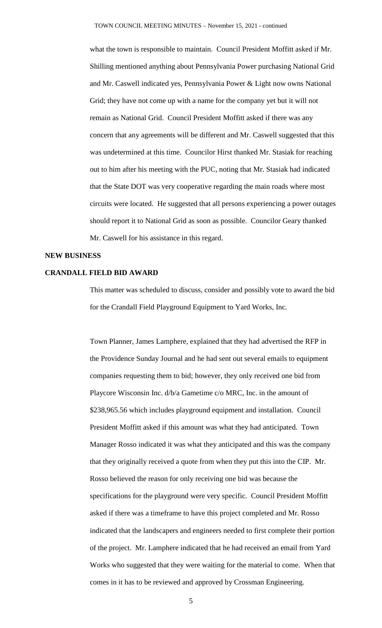what the town is responsible to maintain. Council President Moffitt asked if Mr. Shilling mentioned anything about Pennsylvania Power purchasing National Grid and Mr. Caswell indicated yes, Pennsylvania Power & Light now owns National Grid; they have not come up with a name for the company yet but it will not remain as National Grid. Council President Moffitt asked if there was any concern that any agreements will be different and Mr. Caswell suggested that this was undetermined at this time. Councilor Hirst thanked Mr. Stasiak for reaching out to him after his meeting with the PUC, noting that Mr. Stasiak had indicated that the State DOT was very cooperative regarding the main roads where most circuits were located. He suggested that all persons experiencing a power outages should report it to National Grid as soon as possible. Councilor Geary thanked Mr. Caswell for his assistance in this regard.

#### **NEW BUSINESS**

## **CRANDALL FIELD BID AWARD**

This matter was scheduled to discuss, consider and possibly vote to award the bid for the Crandall Field Playground Equipment to Yard Works, Inc.

Town Planner, James Lamphere, explained that they had advertised the RFP in the Providence Sunday Journal and he had sent out several emails to equipment companies requesting them to bid; however, they only received one bid from Playcore Wisconsin Inc. d/b/a Gametime c/o MRC, Inc. in the amount of \$238,965.56 which includes playground equipment and installation. Council President Moffitt asked if this amount was what they had anticipated. Town Manager Rosso indicated it was what they anticipated and this was the company that they originally received a quote from when they put this into the CIP. Mr. Rosso believed the reason for only receiving one bid was because the specifications for the playground were very specific. Council President Moffitt asked if there was a timeframe to have this project completed and Mr. Rosso indicated that the landscapers and engineers needed to first complete their portion of the project. Mr. Lamphere indicated that he had received an email from Yard Works who suggested that they were waiting for the material to come. When that comes in it has to be reviewed and approved by Crossman Engineering.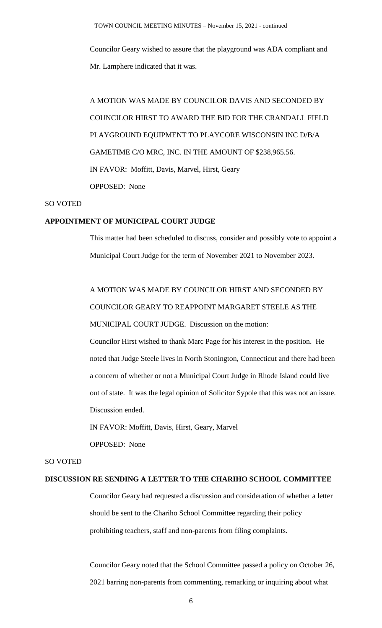Councilor Geary wished to assure that the playground was ADA compliant and Mr. Lamphere indicated that it was.

A MOTION WAS MADE BY COUNCILOR DAVIS AND SECONDED BY COUNCILOR HIRST TO AWARD THE BID FOR THE CRANDALL FIELD PLAYGROUND EQUIPMENT TO PLAYCORE WISCONSIN INC D/B/A GAMETIME C/O MRC, INC. IN THE AMOUNT OF \$238,965.56. IN FAVOR: Moffitt, Davis, Marvel, Hirst, Geary OPPOSED: None

## SO VOTED

## **APPOINTMENT OF MUNICIPAL COURT JUDGE**

This matter had been scheduled to discuss, consider and possibly vote to appoint a Municipal Court Judge for the term of November 2021 to November 2023.

A MOTION WAS MADE BY COUNCILOR HIRST AND SECONDED BY COUNCILOR GEARY TO REAPPOINT MARGARET STEELE AS THE MUNICIPAL COURT JUDGE. Discussion on the motion: Councilor Hirst wished to thank Marc Page for his interest in the position. He noted that Judge Steele lives in North Stonington, Connecticut and there had been a concern of whether or not a Municipal Court Judge in Rhode Island could live

out of state. It was the legal opinion of Solicitor Sypole that this was not an issue. Discussion ended.

IN FAVOR: Moffitt, Davis, Hirst, Geary, Marvel

OPPOSED: None

# SO VOTED

#### **DISCUSSION RE SENDING A LETTER TO THE CHARIHO SCHOOL COMMITTEE**

Councilor Geary had requested a discussion and consideration of whether a letter should be sent to the Chariho School Committee regarding their policy prohibiting teachers, staff and non-parents from filing complaints.

Councilor Geary noted that the School Committee passed a policy on October 26, 2021 barring non-parents from commenting, remarking or inquiring about what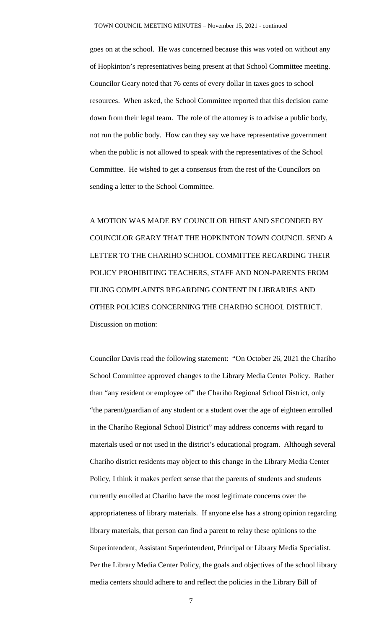goes on at the school. He was concerned because this was voted on without any of Hopkinton's representatives being present at that School Committee meeting. Councilor Geary noted that 76 cents of every dollar in taxes goes to school resources. When asked, the School Committee reported that this decision came down from their legal team. The role of the attorney is to advise a public body, not run the public body. How can they say we have representative government when the public is not allowed to speak with the representatives of the School Committee. He wished to get a consensus from the rest of the Councilors on sending a letter to the School Committee.

A MOTION WAS MADE BY COUNCILOR HIRST AND SECONDED BY COUNCILOR GEARY THAT THE HOPKINTON TOWN COUNCIL SEND A LETTER TO THE CHARIHO SCHOOL COMMITTEE REGARDING THEIR POLICY PROHIBITING TEACHERS, STAFF AND NON-PARENTS FROM FILING COMPLAINTS REGARDING CONTENT IN LIBRARIES AND OTHER POLICIES CONCERNING THE CHARIHO SCHOOL DISTRICT. Discussion on motion:

Councilor Davis read the following statement: "On October 26, 2021 the Chariho School Committee approved changes to the Library Media Center Policy. Rather than "any resident or employee of" the Chariho Regional School District, only "the parent/guardian of any student or a student over the age of eighteen enrolled in the Chariho Regional School District" may address concerns with regard to materials used or not used in the district's educational program. Although several Chariho district residents may object to this change in the Library Media Center Policy, I think it makes perfect sense that the parents of students and students currently enrolled at Chariho have the most legitimate concerns over the appropriateness of library materials. If anyone else has a strong opinion regarding library materials, that person can find a parent to relay these opinions to the Superintendent, Assistant Superintendent, Principal or Library Media Specialist. Per the Library Media Center Policy, the goals and objectives of the school library media centers should adhere to and reflect the policies in the Library Bill of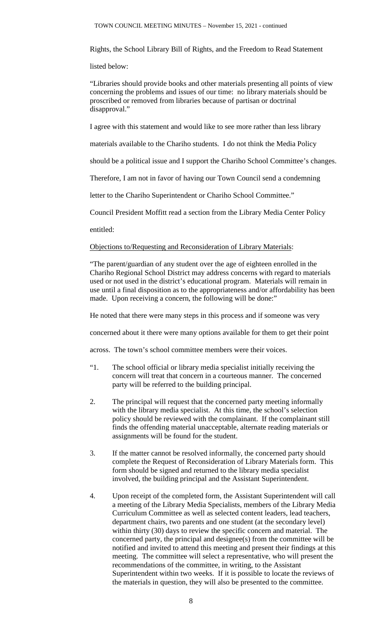Rights, the School Library Bill of Rights, and the Freedom to Read Statement

listed below:

"Libraries should provide books and other materials presenting all points of view concerning the problems and issues of our time: no library materials should be proscribed or removed from libraries because of partisan or doctrinal disapproval."

I agree with this statement and would like to see more rather than less library

materials available to the Chariho students. I do not think the Media Policy

should be a political issue and I support the Chariho School Committee's changes.

Therefore, I am not in favor of having our Town Council send a condemning

letter to the Chariho Superintendent or Chariho School Committee."

Council President Moffitt read a section from the Library Media Center Policy

entitled:

Objections to/Requesting and Reconsideration of Library Materials:

"The parent/guardian of any student over the age of eighteen enrolled in the Chariho Regional School District may address concerns with regard to materials used or not used in the district's educational program. Materials will remain in use until a final disposition as to the appropriateness and/or affordability has been made. Upon receiving a concern, the following will be done:"

He noted that there were many steps in this process and if someone was very

concerned about it there were many options available for them to get their point

across. The town's school committee members were their voices.

- "1. The school official or library media specialist initially receiving the concern will treat that concern in a courteous manner. The concerned party will be referred to the building principal.
- 2. The principal will request that the concerned party meeting informally with the library media specialist. At this time, the school's selection policy should be reviewed with the complainant. If the complainant still finds the offending material unacceptable, alternate reading materials or assignments will be found for the student.
- 3. If the matter cannot be resolved informally, the concerned party should complete the Request of Reconsideration of Library Materials form. This form should be signed and returned to the library media specialist involved, the building principal and the Assistant Superintendent.
- 4. Upon receipt of the completed form, the Assistant Superintendent will call a meeting of the Library Media Specialists, members of the Library Media Curriculum Committee as well as selected content leaders, lead teachers, department chairs, two parents and one student (at the secondary level) within thirty (30) days to review the specific concern and material. The concerned party, the principal and designee(s) from the committee will be notified and invited to attend this meeting and present their findings at this meeting. The committee will select a representative, who will present the recommendations of the committee, in writing, to the Assistant Superintendent within two weeks. If it is possible to locate the reviews of the materials in question, they will also be presented to the committee.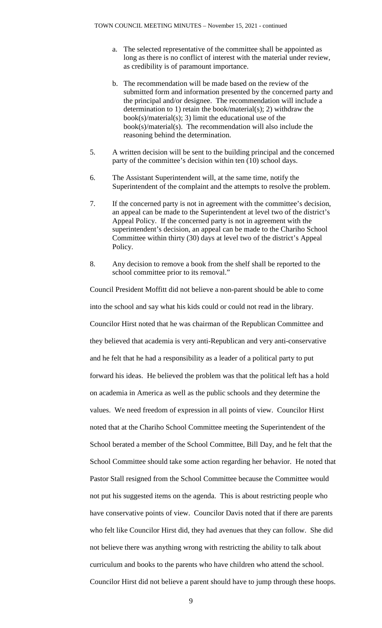- a. The selected representative of the committee shall be appointed as long as there is no conflict of interest with the material under review, as credibility is of paramount importance.
- b. The recommendation will be made based on the review of the submitted form and information presented by the concerned party and the principal and/or designee. The recommendation will include a determination to 1) retain the book/material(s); 2) withdraw the  $book(s)/material(s);$  3) limit the educational use of the book(s)/material(s). The recommendation will also include the reasoning behind the determination.
- 5. A written decision will be sent to the building principal and the concerned party of the committee's decision within ten (10) school days.
- 6. The Assistant Superintendent will, at the same time, notify the Superintendent of the complaint and the attempts to resolve the problem.
- 7. If the concerned party is not in agreement with the committee's decision, an appeal can be made to the Superintendent at level two of the district's Appeal Policy. If the concerned party is not in agreement with the superintendent's decision, an appeal can be made to the Chariho School Committee within thirty (30) days at level two of the district's Appeal Policy.
- 8. Any decision to remove a book from the shelf shall be reported to the school committee prior to its removal."

Council President Moffitt did not believe a non-parent should be able to come into the school and say what his kids could or could not read in the library. Councilor Hirst noted that he was chairman of the Republican Committee and they believed that academia is very anti-Republican and very anti-conservative and he felt that he had a responsibility as a leader of a political party to put forward his ideas. He believed the problem was that the political left has a hold on academia in America as well as the public schools and they determine the values. We need freedom of expression in all points of view. Councilor Hirst noted that at the Chariho School Committee meeting the Superintendent of the School berated a member of the School Committee, Bill Day, and he felt that the School Committee should take some action regarding her behavior. He noted that Pastor Stall resigned from the School Committee because the Committee would not put his suggested items on the agenda. This is about restricting people who have conservative points of view. Councilor Davis noted that if there are parents who felt like Councilor Hirst did, they had avenues that they can follow. She did not believe there was anything wrong with restricting the ability to talk about curriculum and books to the parents who have children who attend the school. Councilor Hirst did not believe a parent should have to jump through these hoops.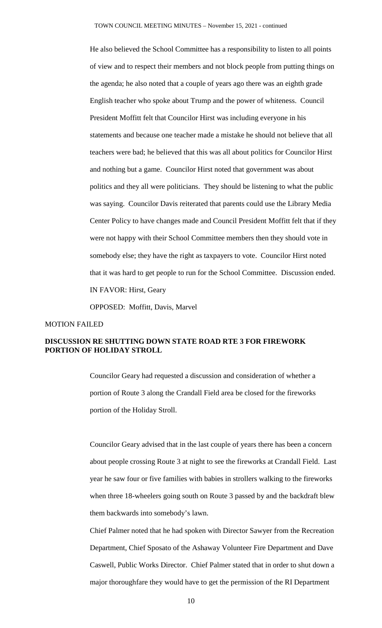He also believed the School Committee has a responsibility to listen to all points of view and to respect their members and not block people from putting things on the agenda; he also noted that a couple of years ago there was an eighth grade English teacher who spoke about Trump and the power of whiteness. Council President Moffitt felt that Councilor Hirst was including everyone in his statements and because one teacher made a mistake he should not believe that all teachers were bad; he believed that this was all about politics for Councilor Hirst and nothing but a game. Councilor Hirst noted that government was about politics and they all were politicians. They should be listening to what the public was saying. Councilor Davis reiterated that parents could use the Library Media Center Policy to have changes made and Council President Moffitt felt that if they were not happy with their School Committee members then they should vote in somebody else; they have the right as taxpayers to vote. Councilor Hirst noted that it was hard to get people to run for the School Committee. Discussion ended. IN FAVOR: Hirst, Geary

OPPOSED: Moffitt, Davis, Marvel

#### MOTION FAILED

## **DISCUSSION RE SHUTTING DOWN STATE ROAD RTE 3 FOR FIREWORK PORTION OF HOLIDAY STROLL**

Councilor Geary had requested a discussion and consideration of whether a portion of Route 3 along the Crandall Field area be closed for the fireworks portion of the Holiday Stroll.

Councilor Geary advised that in the last couple of years there has been a concern about people crossing Route 3 at night to see the fireworks at Crandall Field. Last year he saw four or five families with babies in strollers walking to the fireworks when three 18-wheelers going south on Route 3 passed by and the backdraft blew them backwards into somebody's lawn.

Chief Palmer noted that he had spoken with Director Sawyer from the Recreation Department, Chief Sposato of the Ashaway Volunteer Fire Department and Dave Caswell, Public Works Director. Chief Palmer stated that in order to shut down a major thoroughfare they would have to get the permission of the RI Department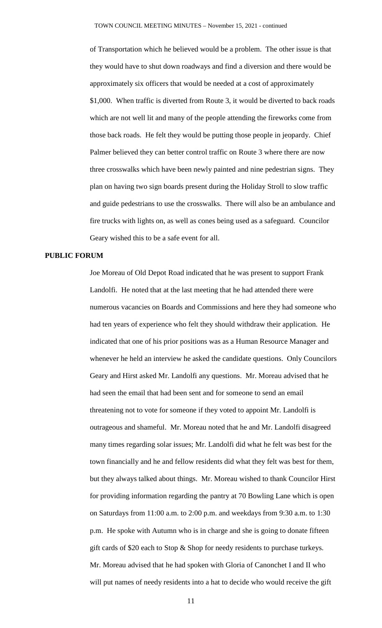of Transportation which he believed would be a problem. The other issue is that they would have to shut down roadways and find a diversion and there would be approximately six officers that would be needed at a cost of approximately \$1,000. When traffic is diverted from Route 3, it would be diverted to back roads which are not well lit and many of the people attending the fireworks come from those back roads. He felt they would be putting those people in jeopardy. Chief Palmer believed they can better control traffic on Route 3 where there are now three crosswalks which have been newly painted and nine pedestrian signs. They plan on having two sign boards present during the Holiday Stroll to slow traffic and guide pedestrians to use the crosswalks. There will also be an ambulance and fire trucks with lights on, as well as cones being used as a safeguard. Councilor Geary wished this to be a safe event for all.

### **PUBLIC FORUM**

Joe Moreau of Old Depot Road indicated that he was present to support Frank Landolfi. He noted that at the last meeting that he had attended there were numerous vacancies on Boards and Commissions and here they had someone who had ten years of experience who felt they should withdraw their application. He indicated that one of his prior positions was as a Human Resource Manager and whenever he held an interview he asked the candidate questions. Only Councilors Geary and Hirst asked Mr. Landolfi any questions. Mr. Moreau advised that he had seen the email that had been sent and for someone to send an email threatening not to vote for someone if they voted to appoint Mr. Landolfi is outrageous and shameful. Mr. Moreau noted that he and Mr. Landolfi disagreed many times regarding solar issues; Mr. Landolfi did what he felt was best for the town financially and he and fellow residents did what they felt was best for them, but they always talked about things. Mr. Moreau wished to thank Councilor Hirst for providing information regarding the pantry at 70 Bowling Lane which is open on Saturdays from 11:00 a.m. to 2:00 p.m. and weekdays from 9:30 a.m. to 1:30 p.m. He spoke with Autumn who is in charge and she is going to donate fifteen gift cards of \$20 each to Stop & Shop for needy residents to purchase turkeys. Mr. Moreau advised that he had spoken with Gloria of Canonchet I and II who will put names of needy residents into a hat to decide who would receive the gift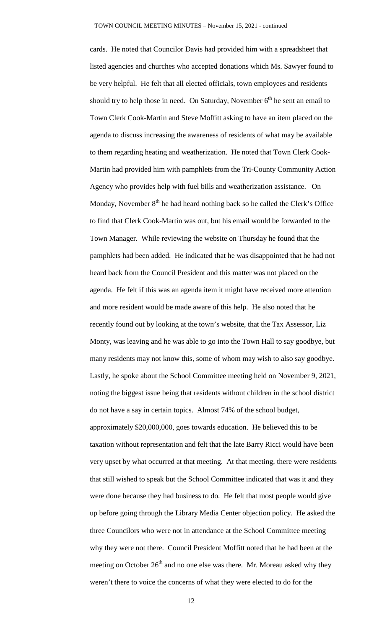cards. He noted that Councilor Davis had provided him with a spreadsheet that listed agencies and churches who accepted donations which Ms. Sawyer found to be very helpful. He felt that all elected officials, town employees and residents should try to help those in need. On Saturday, November  $6<sup>th</sup>$  he sent an email to Town Clerk Cook-Martin and Steve Moffitt asking to have an item placed on the agenda to discuss increasing the awareness of residents of what may be available to them regarding heating and weatherization. He noted that Town Clerk Cook-Martin had provided him with pamphlets from the Tri-County Community Action Agency who provides help with fuel bills and weatherization assistance. On Monday, November  $8<sup>th</sup>$  he had heard nothing back so he called the Clerk's Office to find that Clerk Cook-Martin was out, but his email would be forwarded to the Town Manager. While reviewing the website on Thursday he found that the pamphlets had been added. He indicated that he was disappointed that he had not heard back from the Council President and this matter was not placed on the agenda. He felt if this was an agenda item it might have received more attention and more resident would be made aware of this help. He also noted that he recently found out by looking at the town's website, that the Tax Assessor, Liz Monty, was leaving and he was able to go into the Town Hall to say goodbye, but many residents may not know this, some of whom may wish to also say goodbye. Lastly, he spoke about the School Committee meeting held on November 9, 2021, noting the biggest issue being that residents without children in the school district do not have a say in certain topics. Almost 74% of the school budget, approximately \$20,000,000, goes towards education. He believed this to be taxation without representation and felt that the late Barry Ricci would have been very upset by what occurred at that meeting. At that meeting, there were residents that still wished to speak but the School Committee indicated that was it and they were done because they had business to do. He felt that most people would give up before going through the Library Media Center objection policy. He asked the three Councilors who were not in attendance at the School Committee meeting why they were not there. Council President Moffitt noted that he had been at the meeting on October  $26<sup>th</sup>$  and no one else was there. Mr. Moreau asked why they weren't there to voice the concerns of what they were elected to do for the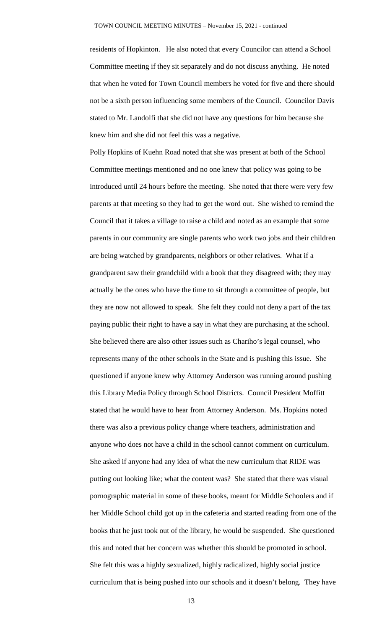residents of Hopkinton. He also noted that every Councilor can attend a School Committee meeting if they sit separately and do not discuss anything. He noted that when he voted for Town Council members he voted for five and there should not be a sixth person influencing some members of the Council. Councilor Davis stated to Mr. Landolfi that she did not have any questions for him because she knew him and she did not feel this was a negative.

Polly Hopkins of Kuehn Road noted that she was present at both of the School Committee meetings mentioned and no one knew that policy was going to be introduced until 24 hours before the meeting. She noted that there were very few parents at that meeting so they had to get the word out. She wished to remind the Council that it takes a village to raise a child and noted as an example that some parents in our community are single parents who work two jobs and their children are being watched by grandparents, neighbors or other relatives. What if a grandparent saw their grandchild with a book that they disagreed with; they may actually be the ones who have the time to sit through a committee of people, but they are now not allowed to speak. She felt they could not deny a part of the tax paying public their right to have a say in what they are purchasing at the school. She believed there are also other issues such as Chariho's legal counsel, who represents many of the other schools in the State and is pushing this issue. She questioned if anyone knew why Attorney Anderson was running around pushing this Library Media Policy through School Districts. Council President Moffitt stated that he would have to hear from Attorney Anderson. Ms. Hopkins noted there was also a previous policy change where teachers, administration and anyone who does not have a child in the school cannot comment on curriculum. She asked if anyone had any idea of what the new curriculum that RIDE was putting out looking like; what the content was? She stated that there was visual pornographic material in some of these books, meant for Middle Schoolers and if her Middle School child got up in the cafeteria and started reading from one of the books that he just took out of the library, he would be suspended. She questioned this and noted that her concern was whether this should be promoted in school. She felt this was a highly sexualized, highly radicalized, highly social justice curriculum that is being pushed into our schools and it doesn't belong. They have